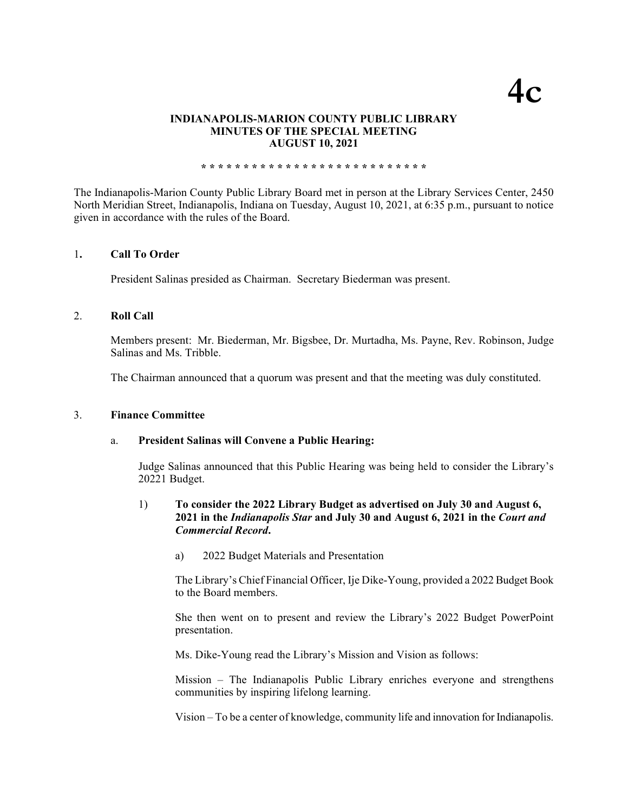# **4c**

#### **INDIANAPOLIS-MARION COUNTY PUBLIC LIBRARY MINUTES OF THE SPECIAL MEETING AUGUST 10, 2021**

**\* \* \* \* \* \* \* \* \* \* \* \* \* \* \* \* \* \* \* \* \* \* \* \* \* \* \***

The Indianapolis-Marion County Public Library Board met in person at the Library Services Center, 2450 North Meridian Street, Indianapolis, Indiana on Tuesday, August 10, 2021, at 6:35 p.m., pursuant to notice given in accordance with the rules of the Board.

#### 1**. Call To Order**

President Salinas presided as Chairman. Secretary Biederman was present.

#### 2. **Roll Call**

Members present: Mr. Biederman, Mr. Bigsbee, Dr. Murtadha, Ms. Payne, Rev. Robinson, Judge Salinas and Ms. Tribble.

The Chairman announced that a quorum was present and that the meeting was duly constituted.

#### 3. **Finance Committee**

#### a. **President Salinas will Convene a Public Hearing:**

Judge Salinas announced that this Public Hearing was being held to consider the Library's 20221 Budget.

## 1) **To consider the 2022 Library Budget as advertised on July 30 and August 6, 2021 in the** *Indianapolis Star* **and July 30 and August 6, 2021 in the** *Court and Commercial Record***.**

a) 2022 Budget Materials and Presentation

The Library's Chief Financial Officer, Ije Dike-Young, provided a 2022 Budget Book to the Board members.

She then went on to present and review the Library's 2022 Budget PowerPoint presentation.

Ms. Dike-Young read the Library's Mission and Vision as follows:

Mission – The Indianapolis Public Library enriches everyone and strengthens communities by inspiring lifelong learning.

Vision – To be a center of knowledge, community life and innovation for Indianapolis.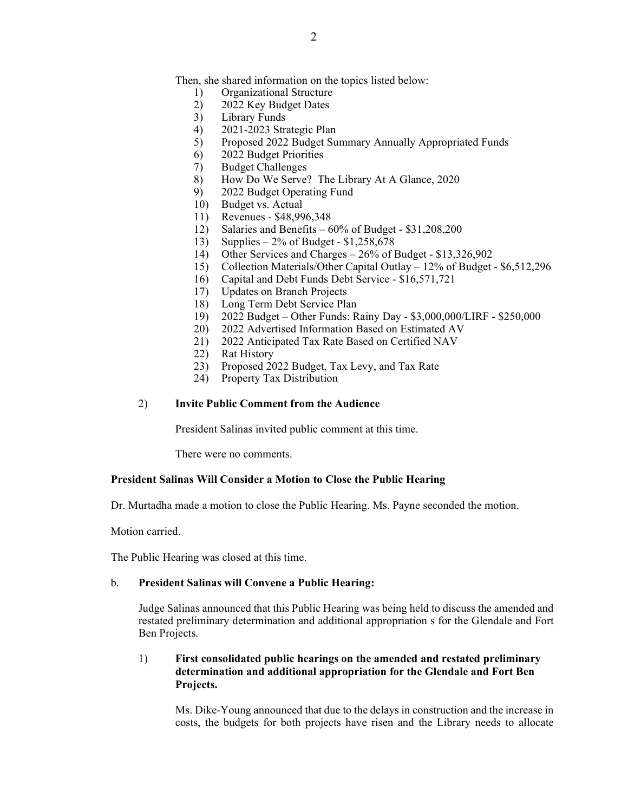Then, she shared information on the topics listed below:

- 1) Organizational Structure
- 2) 2022 Key Budget Dates
- 3) Library Funds
- 4) 2021-2023 Strategic Plan
- 5) Proposed 2022 Budget Summary Annually Appropriated Funds
- 6) 2022 Budget Priorities
- 7) Budget Challenges
- 8) How Do We Serve? The Library At A Glance, 2020
- 9) 2022 Budget Operating Fund
- 10) Budget vs. Actual
- 11) Revenues \$48,996,348
- 12) Salaries and Benefits 60% of Budget \$31,208,200
- 13) Supplies 2% of Budget \$1,258,678
- 14) Other Services and Charges 26% of Budget \$13,326,902
- 15) Collection Materials/Other Capital Outlay 12% of Budget \$6,512,296
- 16) Capital and Debt Funds Debt Service \$16,571,721
- 17) Updates on Branch Projects
- 18) Long Term Debt Service Plan
- 19) 2022 Budget Other Funds: Rainy Day \$3,000,000/LIRF \$250,000
- 20) 2022 Advertised Information Based on Estimated AV
- 21) 2022 Anticipated Tax Rate Based on Certified NAV
- 22) Rat History
- 23) Proposed 2022 Budget, Tax Levy, and Tax Rate
- 24) Property Tax Distribution

#### 2) **Invite Public Comment from the Audience**

President Salinas invited public comment at this time.

There were no comments.

#### **President Salinas Will Consider a Motion to Close the Public Hearing**

Dr. Murtadha made a motion to close the Public Hearing. Ms. Payne seconded the motion.

Motion carried.

The Public Hearing was closed at this time.

#### b. **President Salinas will Convene a Public Hearing:**

Judge Salinas announced that this Public Hearing was being held to discuss the amended and restated preliminary determination and additional appropriation s for the Glendale and Fort Ben Projects.

#### 1) **First consolidated public hearings on the amended and restated preliminary determination and additional appropriation for the Glendale and Fort Ben Projects.**

Ms. Dike-Young announced that due to the delays in construction and the increase in costs, the budgets for both projects have risen and the Library needs to allocate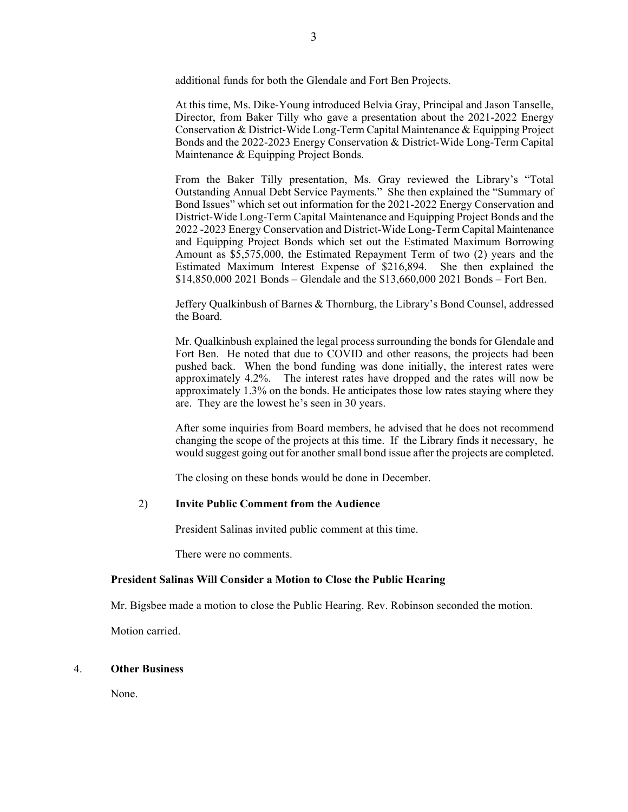additional funds for both the Glendale and Fort Ben Projects.

At this time, Ms. Dike-Young introduced Belvia Gray, Principal and Jason Tanselle, Director, from Baker Tilly who gave a presentation about the 2021-2022 Energy Conservation & District-Wide Long-Term Capital Maintenance & Equipping Project Bonds and the 2022-2023 Energy Conservation & District-Wide Long-Term Capital Maintenance & Equipping Project Bonds.

From the Baker Tilly presentation, Ms. Gray reviewed the Library's "Total Outstanding Annual Debt Service Payments." She then explained the "Summary of Bond Issues" which set out information for the 2021-2022 Energy Conservation and District-Wide Long-Term Capital Maintenance and Equipping Project Bonds and the 2022 -2023 Energy Conservation and District-Wide Long-Term Capital Maintenance and Equipping Project Bonds which set out the Estimated Maximum Borrowing Amount as \$5,575,000, the Estimated Repayment Term of two (2) years and the Estimated Maximum Interest Expense of \$216,894. She then explained the \$14,850,000 2021 Bonds – Glendale and the \$13,660,000 2021 Bonds – Fort Ben.

Jeffery Qualkinbush of Barnes & Thornburg, the Library's Bond Counsel, addressed the Board.

Mr. Qualkinbush explained the legal process surrounding the bonds for Glendale and Fort Ben. He noted that due to COVID and other reasons, the projects had been pushed back. When the bond funding was done initially, the interest rates were approximately 4.2%. The interest rates have dropped and the rates will now be approximately 1.3% on the bonds. He anticipates those low rates staying where they are. They are the lowest he's seen in 30 years.

After some inquiries from Board members, he advised that he does not recommend changing the scope of the projects at this time. If the Library finds it necessary, he would suggest going out for another small bond issue after the projects are completed.

The closing on these bonds would be done in December.

#### 2) **Invite Public Comment from the Audience**

President Salinas invited public comment at this time.

There were no comments.

#### **President Salinas Will Consider a Motion to Close the Public Hearing**

Mr. Bigsbee made a motion to close the Public Hearing. Rev. Robinson seconded the motion.

Motion carried.

#### 4. **Other Business**

None.